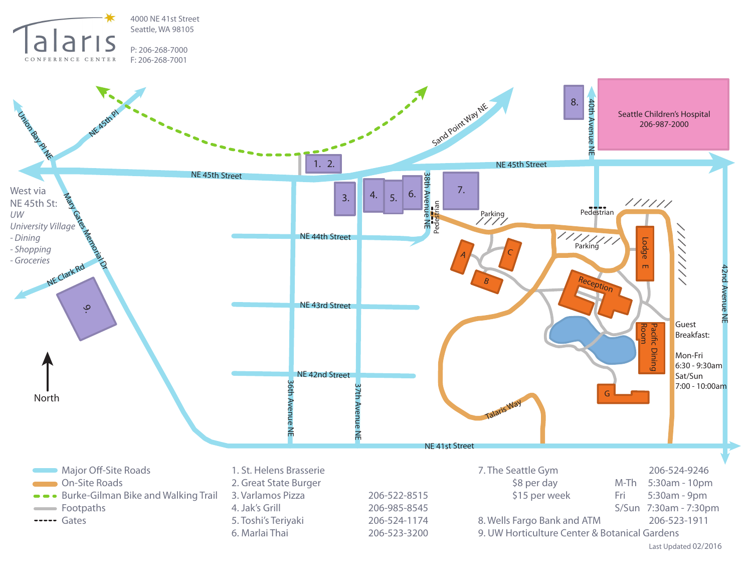